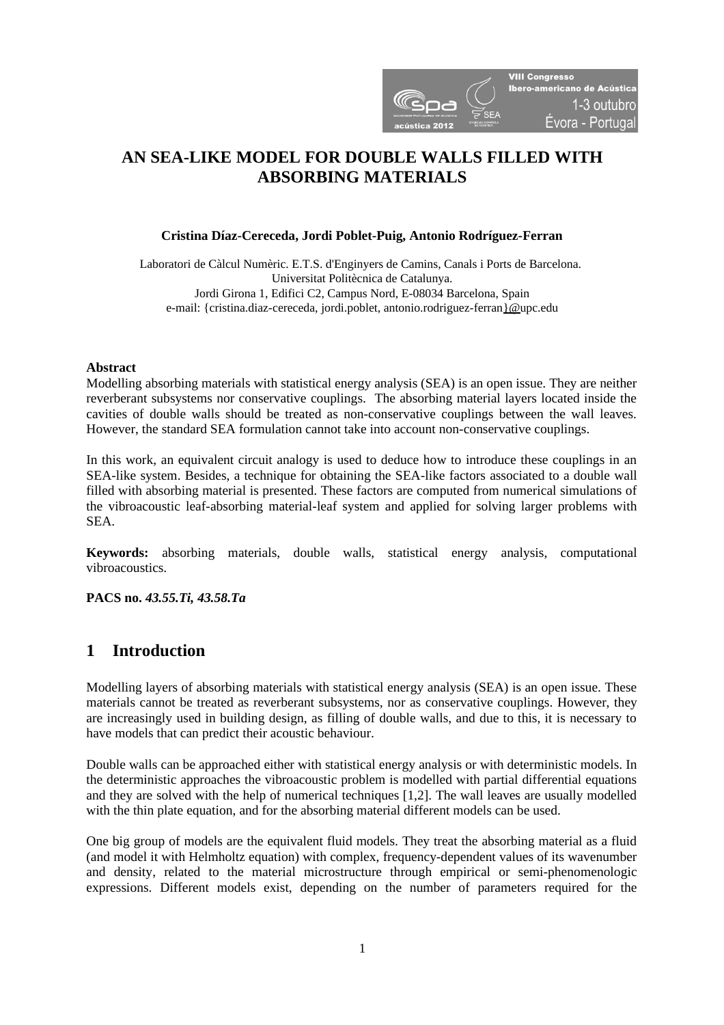

# **AN SEA-LIKE MODEL FOR DOUBLE WALLS FILLED WITH ABSORBING MATERIALS**

## **Cristina Díaz-Cereceda, Jordi Poblet-Puig, Antonio Rodríguez-Ferran**

Laboratori de Càlcul Numèric. E.T.S. d'Enginyers de Camins, Canals i Ports de Barcelona. Universitat Politècnica de Catalunya. Jordi Girona 1, Edifici C2, Campus Nord, E-08034 Barcelona, Spain e-mail: {cristina.diaz-cereceda, jordi.poblet, antonio.rodriguez-ferra[n}@u](mailto:%7D@)pc.edu

#### **Abstract**

Modelling absorbing materials with statistical energy analysis (SEA) is an open issue. They are neither reverberant subsystems nor conservative couplings. The absorbing material layers located inside the cavities of double walls should be treated as non-conservative couplings between the wall leaves. However, the standard SEA formulation cannot take into account non-conservative couplings.

In this work, an equivalent circuit analogy is used to deduce how to introduce these couplings in an SEA-like system. Besides, a technique for obtaining the SEA-like factors associated to a double wall filled with absorbing material is presented. These factors are computed from numerical simulations of the vibroacoustic leaf-absorbing material-leaf system and applied for solving larger problems with SEA.

**Keywords:** absorbing materials, double walls, statistical energy analysis, computational vibroacoustics.

**PACS no.** *43.55.Ti, 43.58.Ta*

## **1 Introduction**

Modelling layers of absorbing materials with statistical energy analysis (SEA) is an open issue. These materials cannot be treated as reverberant subsystems, nor as conservative couplings. However, they are increasingly used in building design, as filling of double walls, and due to this, it is necessary to have models that can predict their acoustic behaviour.

Double walls can be approached either with statistical energy analysis or with deterministic models. In the deterministic approaches the vibroacoustic problem is modelled with partial differential equations and they are solved with the help of numerical techniques [1,2]. The wall leaves are usually modelled with the thin plate equation, and for the absorbing material different models can be used.

One big group of models are the equivalent fluid models. They treat the absorbing material as a fluid (and model it with Helmholtz equation) with complex, frequency-dependent values of its wavenumber and density, related to the material microstructure through empirical or semi-phenomenologic expressions. Different models exist, depending on the number of parameters required for the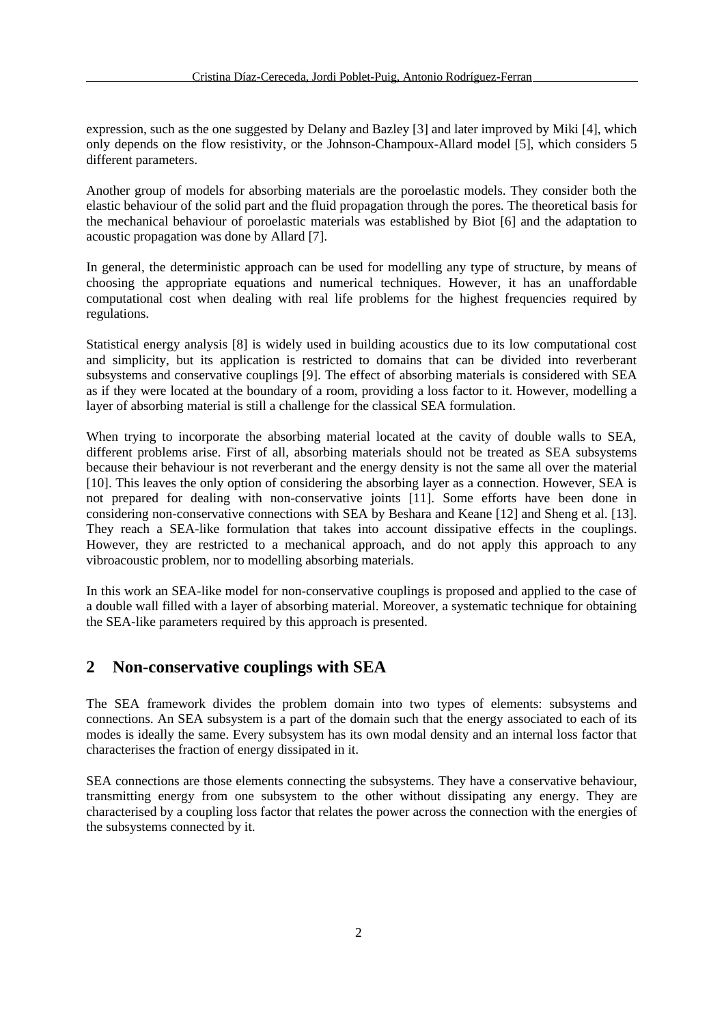expression, such as the one suggested by Delany and Bazley [3] and later improved by Miki [4], which only depends on the flow resistivity, or the Johnson-Champoux-Allard model [5], which considers 5 different parameters.

Another group of models for absorbing materials are the poroelastic models. They consider both the elastic behaviour of the solid part and the fluid propagation through the pores. The theoretical basis for the mechanical behaviour of poroelastic materials was established by Biot [6] and the adaptation to acoustic propagation was done by Allard [7].

In general, the deterministic approach can be used for modelling any type of structure, by means of choosing the appropriate equations and numerical techniques. However, it has an unaffordable computational cost when dealing with real life problems for the highest frequencies required by regulations.

Statistical energy analysis [8] is widely used in building acoustics due to its low computational cost and simplicity, but its application is restricted to domains that can be divided into reverberant subsystems and conservative couplings [9]. The effect of absorbing materials is considered with SEA as if they were located at the boundary of a room, providing a loss factor to it. However, modelling a layer of absorbing material is still a challenge for the classical SEA formulation.

When trying to incorporate the absorbing material located at the cavity of double walls to SEA, different problems arise. First of all, absorbing materials should not be treated as SEA subsystems because their behaviour is not reverberant and the energy density is not the same all over the material [10]. This leaves the only option of considering the absorbing layer as a connection. However, SEA is not prepared for dealing with non-conservative joints [11]. Some efforts have been done in considering non-conservative connections with SEA by Beshara and Keane [12] and Sheng et al. [13]. They reach a SEA-like formulation that takes into account dissipative effects in the couplings. However, they are restricted to a mechanical approach, and do not apply this approach to any vibroacoustic problem, nor to modelling absorbing materials.

In this work an SEA-like model for non-conservative couplings is proposed and applied to the case of a double wall filled with a layer of absorbing material. Moreover, a systematic technique for obtaining the SEA-like parameters required by this approach is presented.

# **2 Non-conservative couplings with SEA**

The SEA framework divides the problem domain into two types of elements: subsystems and connections. An SEA subsystem is a part of the domain such that the energy associated to each of its modes is ideally the same. Every subsystem has its own modal density and an internal loss factor that characterises the fraction of energy dissipated in it.

SEA connections are those elements connecting the subsystems. They have a conservative behaviour, transmitting energy from one subsystem to the other without dissipating any energy. They are characterised by a coupling loss factor that relates the power across the connection with the energies of the subsystems connected by it.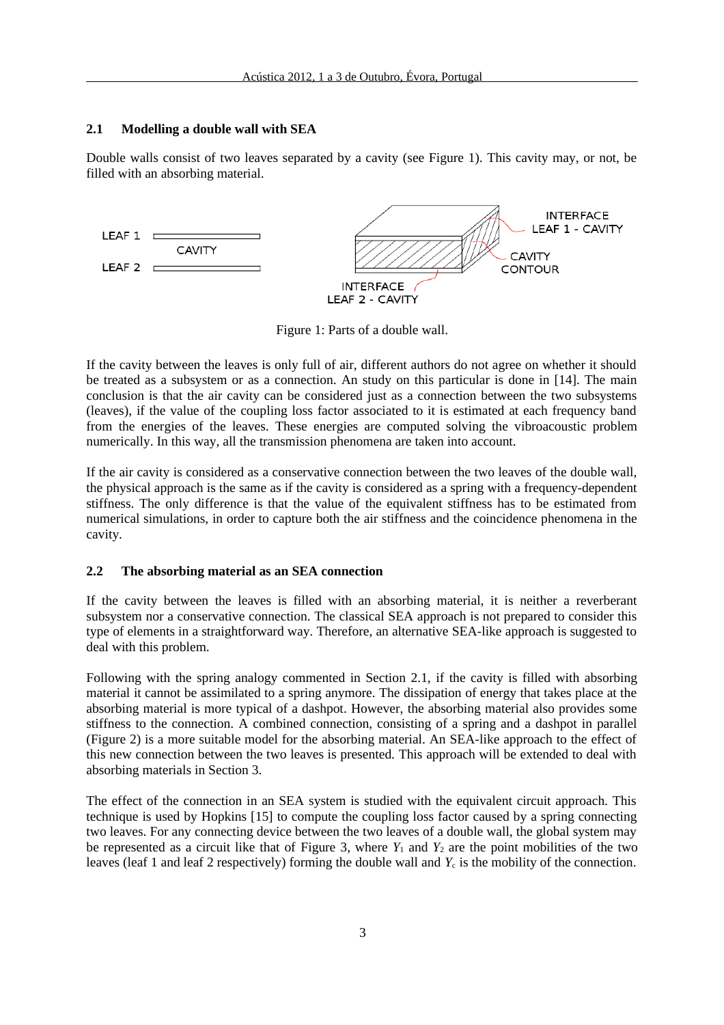## **2.1 Modelling a double wall with SEA**

Double walls consist of two leaves separated by a cavity (see Figure 1). This cavity may, or not, be filled with an absorbing material.



Figure 1: Parts of a double wall.

If the cavity between the leaves is only full of air, different authors do not agree on whether it should be treated as a subsystem or as a connection. An study on this particular is done in [14]. The main conclusion is that the air cavity can be considered just as a connection between the two subsystems (leaves), if the value of the coupling loss factor associated to it is estimated at each frequency band from the energies of the leaves. These energies are computed solving the vibroacoustic problem numerically. In this way, all the transmission phenomena are taken into account.

If the air cavity is considered as a conservative connection between the two leaves of the double wall, the physical approach is the same as if the cavity is considered as a spring with a frequency-dependent stiffness. The only difference is that the value of the equivalent stiffness has to be estimated from numerical simulations, in order to capture both the air stiffness and the coincidence phenomena in the cavity.

## **2.2 The absorbing material as an SEA connection**

If the cavity between the leaves is filled with an absorbing material, it is neither a reverberant subsystem nor a conservative connection. The classical SEA approach is not prepared to consider this type of elements in a straightforward way. Therefore, an alternative SEA-like approach is suggested to deal with this problem.

Following with the spring analogy commented in Section 2.1, if the cavity is filled with absorbing material it cannot be assimilated to a spring anymore. The dissipation of energy that takes place at the absorbing material is more typical of a dashpot. However, the absorbing material also provides some stiffness to the connection. A combined connection, consisting of a spring and a dashpot in parallel [\(Figure 2\)](#page-3-0) is a more suitable model for the absorbing material. An SEA-like approach to the effect of this new connection between the two leaves is presented. This approach will be extended to deal with absorbing materials in Section 3.

The effect of the connection in an SEA system is studied with the equivalent circuit approach. This technique is used by Hopkins [15] to compute the coupling loss factor caused by a spring connecting two leaves. For any connecting device between the two leaves of a double wall, the global system may be represented as a circuit like that of [Figure 3,](#page-3-1) where  $Y_1$  and  $Y_2$  are the point mobilities of the two leaves (leaf 1 and leaf 2 respectively) forming the double wall and  $Y_c$  is the mobility of the connection.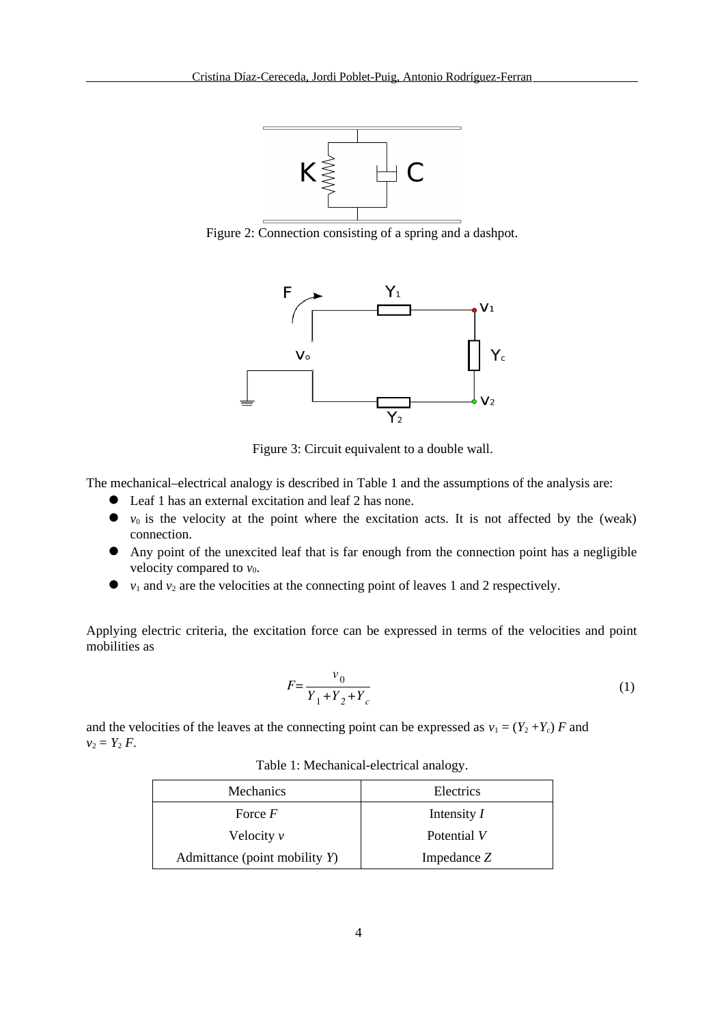

<span id="page-3-0"></span>Figure 2: Connection consisting of a spring and a dashpot.



<span id="page-3-1"></span>Figure 3: Circuit equivalent to a double wall.

The mechanical–electrical analogy is described in [Table 1](#page-3-2) and the assumptions of the analysis are:

- Leaf 1 has an external excitation and leaf 2 has none.
- $\bullet$   $v_0$  is the velocity at the point where the excitation acts. It is not affected by the (weak) connection.
- Any point of the unexcited leaf that is far enough from the connection point has a negligible velocity compared to  $v_0$ .
- $\bullet$   $v_1$  and  $v_2$  are the velocities at the connecting point of leaves 1 and 2 respectively.

Applying electric criteria, the excitation force can be expressed in terms of the velocities and point mobilities as

$$
F = \frac{v_0}{Y_1 + Y_2 + Y_c}
$$
 (1)

and the velocities of the leaves at the connecting point can be expressed as  $v_1 = (Y_2 + Y_c) F$  and  $v_2 = Y_2 F$ .

| Mechanics                     | Electrics     |
|-------------------------------|---------------|
| Force $F$                     | Intensity I   |
| Velocity $v$                  | Potential V   |
| Admittance (point mobility Y) | Impedance $Z$ |

<span id="page-3-2"></span>Table 1: Mechanical-electrical analogy.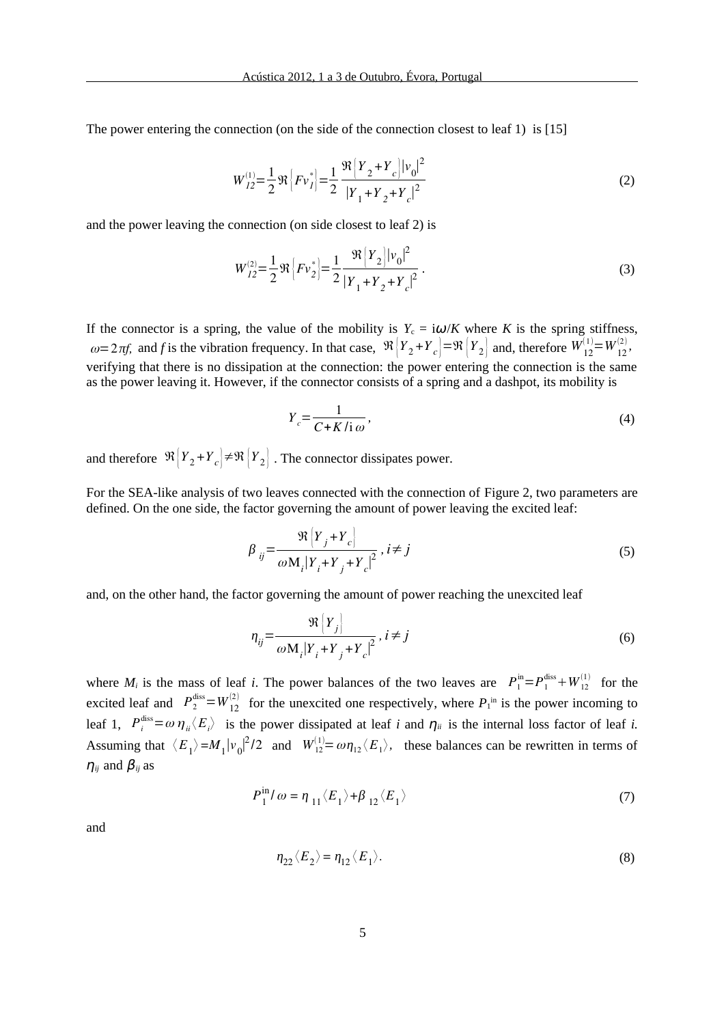The power entering the connection (on the side of the connection closest to leaf 1) is [15]

$$
W_{I2}^{(1)} = \frac{1}{2} \Re \left[ F v_I^* \right] = \frac{1}{2} \frac{\Re \left[ Y_2 + Y_c \right] |v_0|^2}{|Y_1 + Y_2 + Y_c|^2}
$$
 (2)

and the power leaving the connection (on side closest to leaf 2) is

$$
W_{I2}^{(2)} = \frac{1}{2} \Re \left[ F v_2^* \right] = \frac{1}{2} \frac{\Re \left[ Y_2 \right] |v_0|^2}{\left| Y_1 + Y_2 + Y_c \right|^2} \,. \tag{3}
$$

If the connector is a spring, the value of the mobility is  $Y_c = i\omega/K$  where *K* is the spring stiffness,  $\omega = 2 \pi f$ , and *f* is the vibration frequency. In that case,  $\mathcal{R}\left\{Y_2 + Y_c\right\} = \mathcal{R}\left\{Y_2\right\}$  and, therefore  $W_{12}^{(1)} = W_{12}^{(2)}$ , verifying that there is no dissipation at the connection: the power entering the connection is the same as the power leaving it. However, if the connector consists of a spring and a dashpot, its mobility is

$$
Y_c = \frac{1}{C + K/i\omega},\tag{4}
$$

and therefore  $\left| {\mathcal{R}} \right|{Y}_{2} {+} Y_{c} \big| {+} {\mathcal{R}} \left| {Y}_{2} \right|$  . The connector dissipates power.

For the SEA-like analysis of two leaves connected with the connection of [Figure 2,](#page-3-0) two parameters are defined. On the one side, the factor governing the amount of power leaving the excited leaf:

$$
\beta_{ij} = \frac{\Re \left[ Y_j + Y_c \right]}{\omega M_i |Y_i + Y_j + Y_c|^2}, i \neq j \tag{5}
$$

and, on the other hand, the factor governing the amount of power reaching the unexcited leaf

<span id="page-4-0"></span>
$$
\eta_{ij} = \frac{\Re \left\{ Y_j \right\}}{\omega M_i \left| Y_i + Y_j + Y_c \right|^2}, \ i \neq j \tag{6}
$$

where  $M_i$  is the mass of leaf *i*. The power balances of the two leaves are  $P_1^{\text{in}}=P_1^{\text{diss}}+W_{12}^{(1)}$  for the excited leaf and  $P_2^{\text{diss}}=W_{12}^{(2)}$  for the unexcited one respectively, where  $P_1^{\text{in}}$  is the power incoming to leaf 1,  $P_i^{\text{diss}} = \omega \, \eta_{ii} \langle E_i \rangle$  is the power dissipated at leaf *i* and  $\eta_{ii}$  is the internal loss factor of leaf *i*. Assuming that  $\langle E_1 \rangle = M_1 |v_0|^2/2$  and  $W_{12}^{(1)} = \omega \eta_{12} \langle E_1 \rangle$ , these balances can be rewritten in terms of  $\eta_{ij}$  and  $\beta_{ij}$  as

$$
P_1^{\text{in}}/\omega = \eta_{11} \langle E_1 \rangle + \beta_{12} \langle E_1 \rangle \tag{7}
$$

and

$$
\eta_{22} \langle E_2 \rangle = \eta_{12} \langle E_1 \rangle. \tag{8}
$$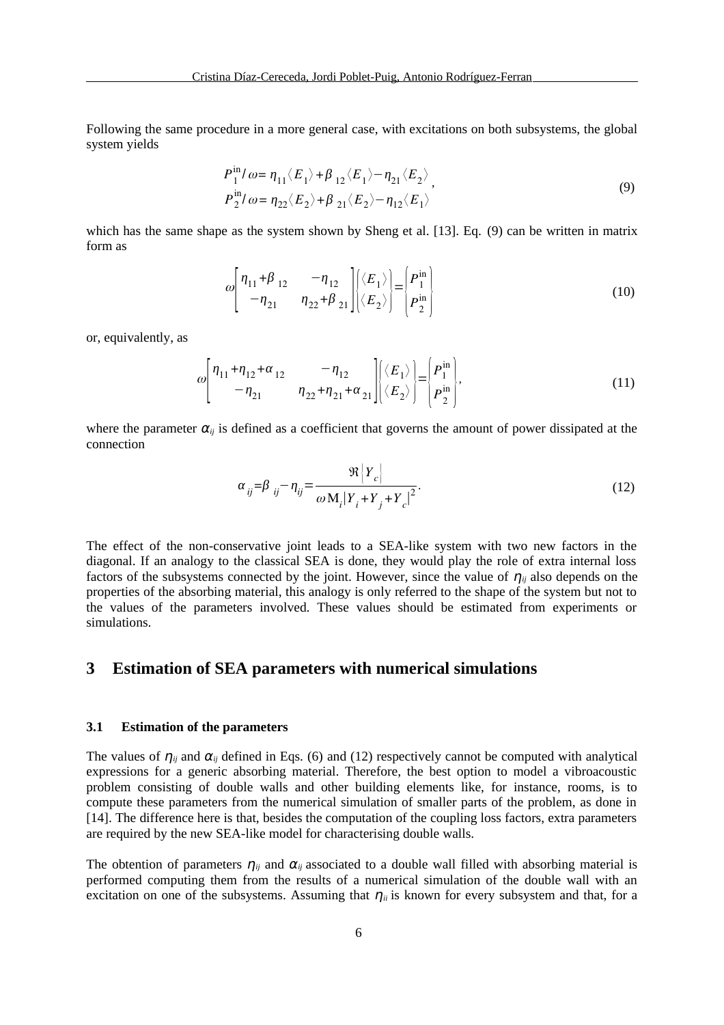Following the same procedure in a more general case, with excitations on both subsystems, the global system yields

<span id="page-5-1"></span>
$$
P_1^{\text{in}}/\omega = \eta_{11} \langle E_1 \rangle + \beta_{12} \langle E_1 \rangle - \eta_{21} \langle E_2 \rangle
$$
  
\n
$$
P_2^{\text{in}}/\omega = \eta_{22} \langle E_2 \rangle + \beta_{21} \langle E_2 \rangle - \eta_{12} \langle E_1 \rangle
$$
 (9)

which has the same shape as the system shown by Sheng et al. [13]. Eq. [\(9\)](#page-5-1) can be written in matrix form as

$$
\omega \begin{bmatrix} \eta_{11} + \beta_{12} & -\eta_{12} \\ -\eta_{21} & \eta_{22} + \beta_{21} \end{bmatrix} \begin{bmatrix} \langle E_1 \rangle \\ \langle E_2 \rangle \end{bmatrix} = \begin{bmatrix} P_1^{\text{in}} \\ P_2^{\text{in}} \end{bmatrix}
$$
 (10)

or, equivalently, as

$$
\omega \begin{bmatrix} \eta_{11} + \eta_{12} + \alpha_{12} & -\eta_{12} \\ -\eta_{21} & \eta_{22} + \eta_{21} + \alpha_{21} \end{bmatrix} \begin{bmatrix} \langle E_1 \rangle \\ \langle E_2 \rangle \end{bmatrix} = \begin{bmatrix} P_1^{\text{in}} \\ P_2^{\text{in}} \end{bmatrix},
$$
(11)

where the parameter  $\alpha_{ij}$  is defined as a coefficient that governs the amount of power dissipated at the connection

<span id="page-5-2"></span><span id="page-5-0"></span>
$$
\alpha_{ij} = \beta_{ij} - \eta_{ij} = \frac{\Re \left\{ Y_c \right\}}{\omega \, \mathrm{M}_i \left| Y_i + Y_j + Y_c \right|^2}.
$$
\n<sup>(12)</sup>

The effect of the non-conservative joint leads to a SEA-like system with two new factors in the diagonal. If an analogy to the classical SEA is done, they would play the role of extra internal loss factors of the subsystems connected by the joint. However, since the value of  $\eta_{ij}$  also depends on the properties of the absorbing material, this analogy is only referred to the shape of the system but not to the values of the parameters involved. These values should be estimated from experiments or simulations.

## **3 Estimation of SEA parameters with numerical simulations**

#### **3.1 Estimation of the parameters**

The values of  $\eta_{ij}$  and  $\alpha_{ij}$  defined in Eqs. [\(6\)](#page-4-0) and [\(12\)](#page-5-0) respectively cannot be computed with analytical expressions for a generic absorbing material. Therefore, the best option to model a vibroacoustic problem consisting of double walls and other building elements like, for instance, rooms, is to compute these parameters from the numerical simulation of smaller parts of the problem, as done in [14]. The difference here is that, besides the computation of the coupling loss factors, extra parameters are required by the new SEA-like model for characterising double walls.

The obtention of parameters  $\eta_{ij}$  and  $\alpha_{ij}$  associated to a double wall filled with absorbing material is performed computing them from the results of a numerical simulation of the double wall with an excitation on one of the subsystems. Assuming that  $\eta$ <sub>ii</sub> is known for every subsystem and that, for a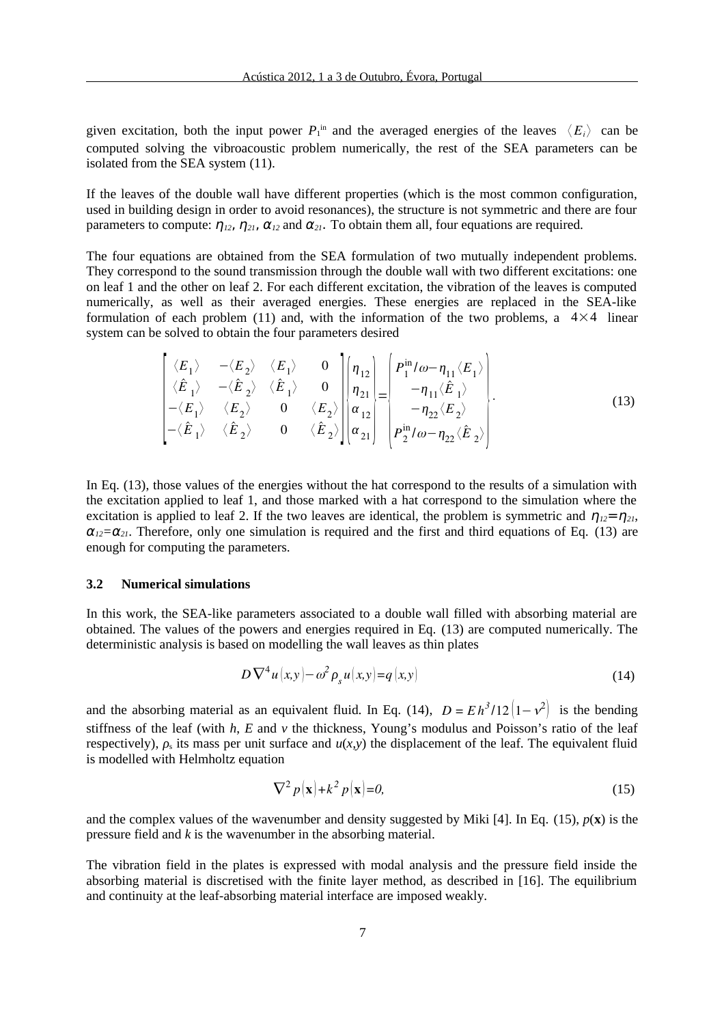given excitation, both the input power  $P_1^{\text{ in}}$  and the averaged energies of the leaves  $\langle E_i \rangle$  can be computed solving the vibroacoustic problem numerically, the rest of the SEA parameters can be isolated from the SEA system [\(11\).](#page-5-2)

If the leaves of the double wall have different properties (which is the most common configuration, used in building design in order to avoid resonances), the structure is not symmetric and there are four parameters to compute:  $\eta_{12}$ ,  $\eta_{21}$ ,  $\alpha_{12}$  and  $\alpha_{21}$ . To obtain them all, four equations are required.

The four equations are obtained from the SEA formulation of two mutually independent problems. They correspond to the sound transmission through the double wall with two different excitations: one on leaf 1 and the other on leaf 2. For each different excitation, the vibration of the leaves is computed numerically, as well as their averaged energies. These energies are replaced in the SEA-like formulation of each problem [\(11\)](#page-5-2) and, with the information of the two problems, a  $4\times4$  linear system can be solved to obtain the four parameters desired

<span id="page-6-2"></span>
$$
\begin{bmatrix}\n\langle E_1 \rangle & -\langle E_2 \rangle & \langle E_1 \rangle & 0 \\
\langle \hat{E}_1 \rangle & -\langle \hat{E}_2 \rangle & \langle \hat{E}_1 \rangle & 0 \\
-\langle E_1 \rangle & \langle E_2 \rangle & 0 & \langle E_2 \rangle \\
-\langle \hat{E}_1 \rangle & \langle \hat{E}_2 \rangle & 0 & \langle \hat{E}_2 \rangle\n\end{bmatrix}\n\begin{bmatrix}\n\eta_{12} \\
\eta_{21} \\
\alpha_{12} \\
\alpha_{21}\n\end{bmatrix}\n=\n\begin{bmatrix}\nP_1^{in}/\omega - \eta_{11} \langle E_1 \rangle \\
-\eta_{11} \langle \hat{E}_1 \rangle \\
-\eta_{22} \langle E_2 \rangle \\
P_2^{in}/\omega - \eta_{22} \langle \hat{E}_2 \rangle\n\end{bmatrix}.
$$
\n(13)

In Eq. [\(13\),](#page-6-2) those values of the energies without the hat correspond to the results of a simulation with the excitation applied to leaf 1, and those marked with a hat correspond to the simulation where the excitation is applied to leaf 2. If the two leaves are identical, the problem is symmetric and  $\eta_{12} = \eta_{21}$ ,  $\alpha_{12} = \alpha_{21}$ . Therefore, only one simulation is required and the first and third equations of Eq. [\(13\)](#page-6-2) are enough for computing the parameters.

#### **3.2 Numerical simulations**

In this work, the SEA-like parameters associated to a double wall filled with absorbing material are obtained. The values of the powers and energies required in Eq. [\(13\)](#page-6-2) are computed numerically. The deterministic analysis is based on modelling the wall leaves as thin plates

$$
D\nabla^4 u(x,y) - \omega^2 \rho_s u(x,y) = q(x,y)
$$
\n(14)

and the absorbing material as an equivalent fluid. In Eq. [\(14\),](#page-6-1)  $D = Eh^3/12(1-\nu^2)$  is the bending stiffness of the leaf (with *h*, *E* and *ν* the thickness, Young's modulus and Poisson's ratio of the leaf respectively),  $\rho_s$  its mass per unit surface and  $u(x,y)$  the displacement of the leaf. The equivalent fluid is modelled with Helmholtz equation

<span id="page-6-1"></span><span id="page-6-0"></span>
$$
\nabla^2 p(\mathbf{x}) + k^2 p(\mathbf{x}) = 0,\tag{15}
$$

and the complex values of the wavenumber and density suggested by Miki [4]. In Eq. [\(15\),](#page-6-0) *p*(**x**) is the pressure field and *k* is the wavenumber in the absorbing material.

The vibration field in the plates is expressed with modal analysis and the pressure field inside the absorbing material is discretised with the finite layer method, as described in [16]. The equilibrium and continuity at the leaf-absorbing material interface are imposed weakly.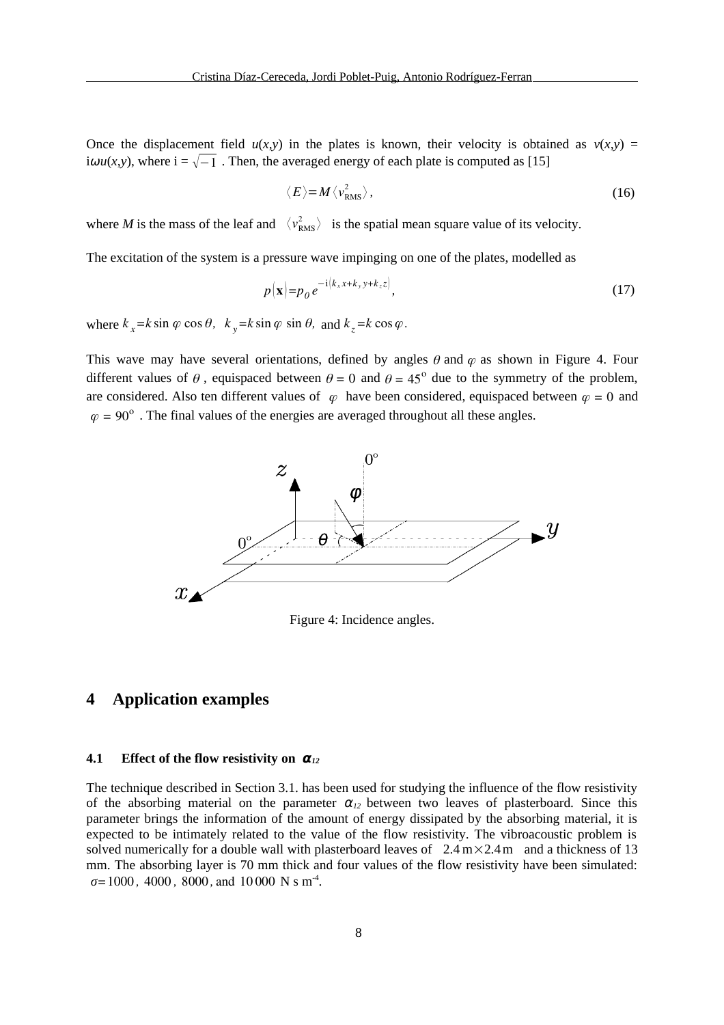Once the displacement field  $u(x,y)$  in the plates is known, their velocity is obtained as  $v(x,y)$  = *i* $\omega$ *u*(*x*,*y*), where  $i = \sqrt{-1}$ . Then, the averaged energy of each plate is computed as [15]

$$
\langle E \rangle = M \langle v_{\rm RMS}^2 \rangle, \tag{16}
$$

where *M* is the mass of the leaf and  $\langle v_{\rm RMS}^2 \rangle$  is the spatial mean square value of its velocity.

The excitation of the system is a pressure wave impinging on one of the plates, modelled as

$$
p(\mathbf{x}) = p_0 e^{-i(k_x x + k_y y + k_z z)}, \tag{17}
$$

where  $k_x = k \sin \varphi \cos \theta$ ,  $k_y = k \sin \varphi \sin \theta$ , and  $k_z = k \cos \varphi$ .

This wave may have several orientations, defined by angles  $\theta$  and  $\varphi$  as shown in [Figure 4.](#page-7-0) Four different values of  $\theta$ , equispaced between  $\theta = 0$  and  $\theta = 45^{\circ}$  due to the symmetry of the problem, are considered. Also ten different values of  $\varphi$  have been considered, equispaced between  $\varphi = 0$  and  $\varphi = 90^{\circ}$  . The final values of the energies are averaged throughout all these angles.



<span id="page-7-0"></span>Figure 4: Incidence angles.

## **4 Application examples**

#### **4.1 Effect of the flow resistivity on α***<sup>12</sup>*

The technique described in Section 3.1. has been used for studying the influence of the flow resistivity of the absorbing material on the parameter  $\alpha_{12}$  between two leaves of plasterboard. Since this parameter brings the information of the amount of energy dissipated by the absorbing material, it is expected to be intimately related to the value of the flow resistivity. The vibroacoustic problem is solved numerically for a double wall with plasterboard leaves of  $2.4 \text{ m} \times 2.4 \text{ m}$  and a thickness of 13 mm. The absorbing layer is 70 mm thick and four values of the flow resistivity have been simulated: *σ=*1000 *,* 4000 *,* 8000 *,* and 10 000 N s m-4 .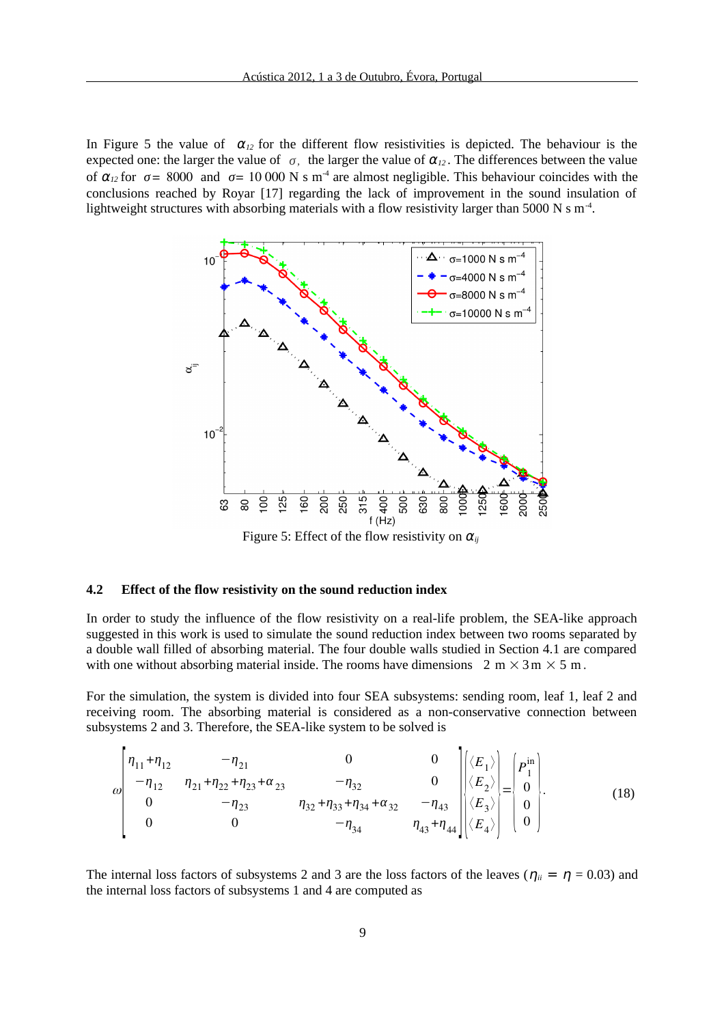In [Figure 5](#page-8-0) the value of  $\alpha_{12}$  for the different flow resistivities is depicted. The behaviour is the expected one: the larger the value of  $\sigma$ , the larger the value of  $\alpha_{12}$ . The differences between the value of  $\alpha_{12}$  for  $\sigma$  = 8000 and  $\sigma$  = 10 000 N s m<sup>-4</sup> are almost negligible. This behaviour coincides with the conclusions reached by Royar [17] regarding the lack of improvement in the sound insulation of lightweight structures with absorbing materials with a flow resistivity larger than 5000 N s  $m^{-4}$ .



<span id="page-8-0"></span>Figure 5: Effect of the flow resistivity on  $\alpha_{ij}$ 

#### **4.2 Effect of the flow resistivity on the sound reduction index**

In order to study the influence of the flow resistivity on a real-life problem, the SEA-like approach suggested in this work is used to simulate the sound reduction index between two rooms separated by a double wall filled of absorbing material. The four double walls studied in Section 4.1 are compared with one without absorbing material inside. The rooms have dimensions  $2 \text{ m} \times 3 \text{ m} \times 5 \text{ m}$ .

For the simulation, the system is divided into four SEA subsystems: sending room, leaf 1, leaf 2 and receiving room. The absorbing material is considered as a non-conservative connection between subsystems 2 and 3. Therefore, the SEA-like system to be solved is

$$
\omega \begin{bmatrix} \eta_{11} + \eta_{12} & -\eta_{21} & 0 & 0 \\ -\eta_{12} & \eta_{21} + \eta_{22} + \eta_{23} + \alpha_{23} & -\eta_{32} & 0 \\ 0 & -\eta_{23} & \eta_{32} + \eta_{33} + \eta_{34} + \alpha_{32} & -\eta_{43} \\ 0 & 0 & -\eta_{34} & \eta_{43} + \eta_{44} \end{bmatrix} \begin{bmatrix} \langle E_1 \rangle \\ \langle E_2 \rangle \\ \langle E_3 \rangle \\ \langle E_4 \rangle \end{bmatrix} = \begin{bmatrix} p_1^{\text{in}} \\ 0 \\ 0 \\ 0 \end{bmatrix} . \tag{18}
$$

The internal loss factors of subsystems 2 and 3 are the loss factors of the leaves ( $\eta_{ii} = \eta = 0.03$ ) and the internal loss factors of subsystems 1 and 4 are computed as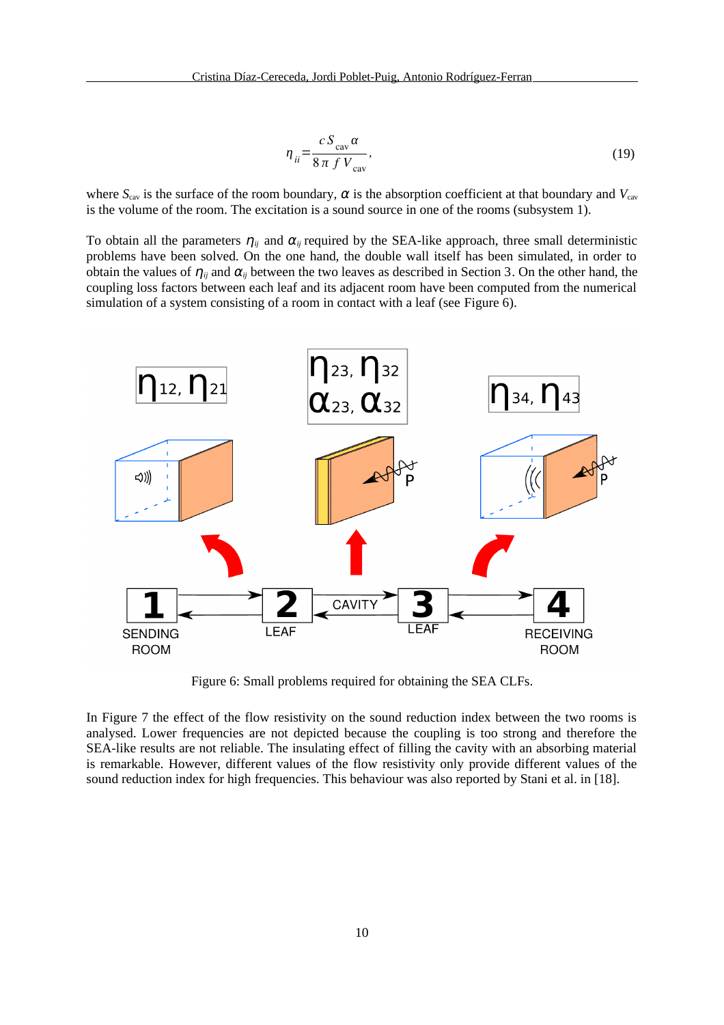$$
\eta_{ii} = \frac{c S_{\text{cav}} \alpha}{8 \pi f V_{\text{cav}}},\tag{19}
$$

where  $S_{\text{cav}}$  is the surface of the room boundary,  $\alpha$  is the absorption coefficient at that boundary and  $V_{\text{cav}}$ is the volume of the room. The excitation is a sound source in one of the rooms (subsystem 1).

To obtain all the parameters  $\eta_{ij}$  and  $\alpha_{ij}$  required by the SEA-like approach, three small deterministic problems have been solved. On the one hand, the double wall itself has been simulated, in order to obtain the values of  $\eta_{ij}$  and  $\alpha_{ij}$  between the two leaves as described in Section 3. On the other hand, the coupling loss factors between each leaf and its adjacent room have been computed from the numerical simulation of a system consisting of a room in contact with a leaf (see [Figure 6\)](#page-9-0).



<span id="page-9-0"></span>Figure 6: Small problems required for obtaining the SEA CLFs.

In [Figure 7](#page-10-0) the effect of the flow resistivity on the sound reduction index between the two rooms is analysed. Lower frequencies are not depicted because the coupling is too strong and therefore the SEA-like results are not reliable. The insulating effect of filling the cavity with an absorbing material is remarkable. However, different values of the flow resistivity only provide different values of the sound reduction index for high frequencies. This behaviour was also reported by Stani et al. in [18].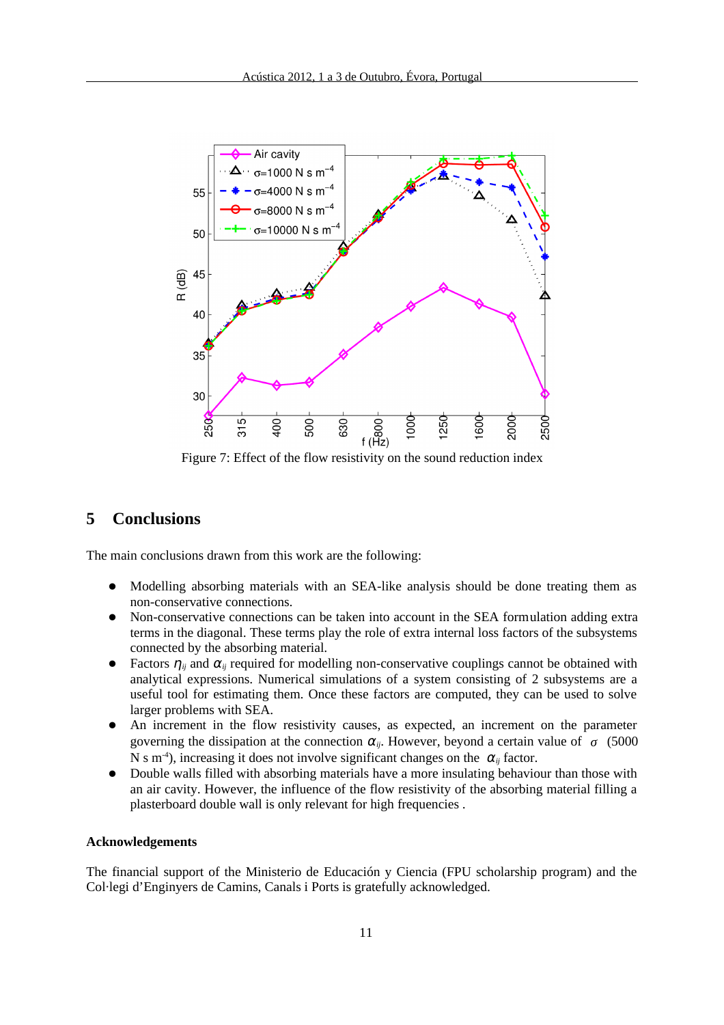

<span id="page-10-0"></span>Figure 7: Effect of the flow resistivity on the sound reduction index

## **5 Conclusions**

The main conclusions drawn from this work are the following:

- Modelling absorbing materials with an SEA-like analysis should be done treating them as non-conservative connections.
- Non-conservative connections can be taken into account in the SEA formulation adding extra terms in the diagonal. These terms play the role of extra internal loss factors of the subsystems connected by the absorbing material.
- Factors  $\eta_{ij}$  and  $\alpha_{ij}$  required for modelling non-conservative couplings cannot be obtained with analytical expressions. Numerical simulations of a system consisting of 2 subsystems are a useful tool for estimating them. Once these factors are computed, they can be used to solve larger problems with SEA.
- An increment in the flow resistivity causes, as expected, an increment on the parameter governing the dissipation at the connection  $\alpha_{ij}$ . However, beyond a certain value of  $\sigma$  (5000 N s m<sup>-4</sup>), increasing it does not involve significant changes on the  $\alpha_{ij}$  factor.
- Double walls filled with absorbing materials have a more insulating behaviour than those with an air cavity. However, the influence of the flow resistivity of the absorbing material filling a plasterboard double wall is only relevant for high frequencies .

## **Acknowledgements**

The financial support of the Ministerio de Educación y Ciencia (FPU scholarship program) and the Col·legi d'Enginyers de Camins, Canals i Ports is gratefully acknowledged.